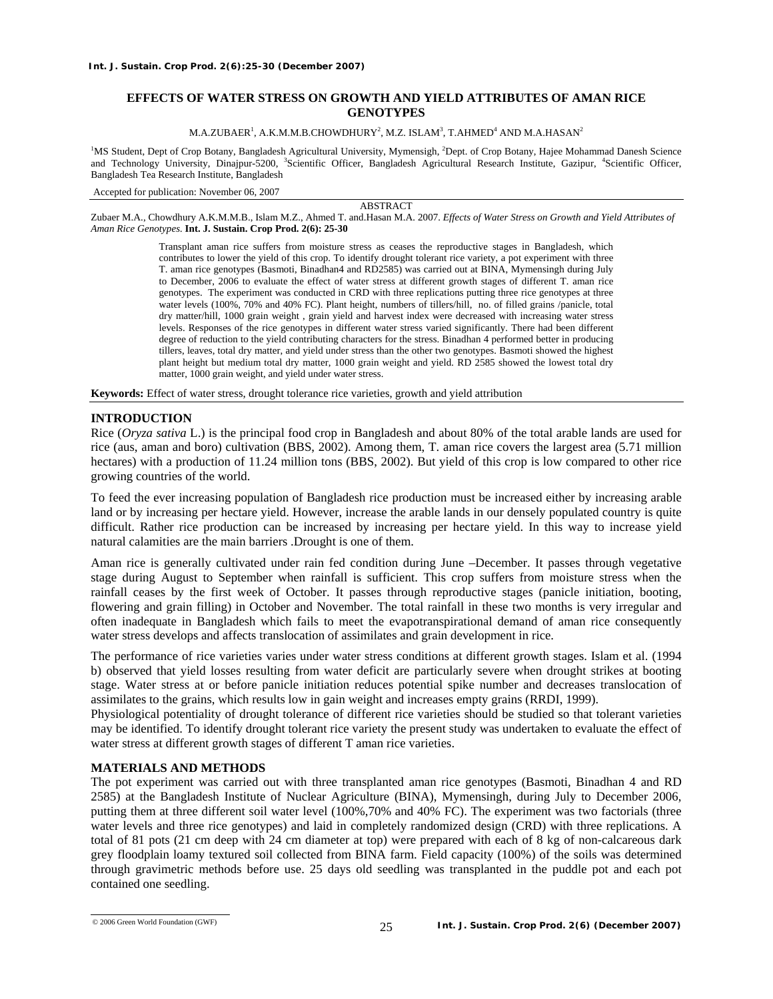# **EFFECTS OF WATER STRESS ON GROWTH AND YIELD ATTRIBUTES OF AMAN RICE GENOTYPES**

 $\rm M.A.ZUBAER^{1},$   $\rm A.K.M.M.B.CHOWDHURY^{2},$   $\rm M.Z.$   $\rm ISLAM^{3},$   $\rm T.AHMED^{4}$   $\rm AND~M.A. HASAN^{2}$ 

<sup>1</sup>MS Student, Dept of Crop Botany, Bangladesh Agricultural University, Mymensigh, <sup>2</sup>Dept. of Crop Botany, Hajee Mohammad Danesh Science and Technology University, Dinajpur-5200, <sup>3</sup>Scientific Officer, Bangladesh Agricultural Research Institute, Gazipur, <sup>4</sup>Scientific Officer, Bangladesh Tea Research Institute, Bangladesh

Accepted for publication: November 06, 2007

ABSTRACT

Zubaer M.A., Chowdhury A.K.M.M.B., Islam M.Z., Ahmed T. and.Hasan M.A. 2007. *Effects of Water Stress on Growth and Yield Attributes of Aman Rice Genotypes.* **Int. J. Sustain. Crop Prod. 2(6): 25-30** 

> Transplant aman rice suffers from moisture stress as ceases the reproductive stages in Bangladesh, which contributes to lower the yield of this crop. To identify drought tolerant rice variety, a pot experiment with three T. aman rice genotypes (Basmoti, Binadhan4 and RD2585) was carried out at BINA, Mymensingh during July to December, 2006 to evaluate the effect of water stress at different growth stages of different T. aman rice genotypes. The experiment was conducted in CRD with three replications putting three rice genotypes at three water levels (100%, 70% and 40% FC). Plant height, numbers of tillers/hill, no. of filled grains /panicle, total dry matter/hill, 1000 grain weight , grain yield and harvest index were decreased with increasing water stress levels. Responses of the rice genotypes in different water stress varied significantly. There had been different degree of reduction to the yield contributing characters for the stress. Binadhan 4 performed better in producing tillers, leaves, total dry matter, and yield under stress than the other two genotypes. Basmoti showed the highest plant height but medium total dry matter, 1000 grain weight and yield. RD 2585 showed the lowest total dry matter, 1000 grain weight, and yield under water stress.

**Keywords:** Effect of water stress, drought tolerance rice varieties, growth and yield attribution

## **INTRODUCTION**

Rice (*Oryza sativa* L.) is the principal food crop in Bangladesh and about 80% of the total arable lands are used for rice (aus, aman and boro) cultivation (BBS, 2002). Among them, T. aman rice covers the largest area (5.71 million hectares) with a production of 11.24 million tons (BBS, 2002). But yield of this crop is low compared to other rice growing countries of the world.

To feed the ever increasing population of Bangladesh rice production must be increased either by increasing arable land or by increasing per hectare yield. However, increase the arable lands in our densely populated country is quite difficult. Rather rice production can be increased by increasing per hectare yield. In this way to increase yield natural calamities are the main barriers .Drought is one of them.

Aman rice is generally cultivated under rain fed condition during June –December. It passes through vegetative stage during August to September when rainfall is sufficient. This crop suffers from moisture stress when the rainfall ceases by the first week of October. It passes through reproductive stages (panicle initiation, booting, flowering and grain filling) in October and November. The total rainfall in these two months is very irregular and often inadequate in Bangladesh which fails to meet the evapotranspirational demand of aman rice consequently water stress develops and affects translocation of assimilates and grain development in rice.

The performance of rice varieties varies under water stress conditions at different growth stages. Islam et al. (1994 b) observed that yield losses resulting from water deficit are particularly severe when drought strikes at booting stage. Water stress at or before panicle initiation reduces potential spike number and decreases translocation of assimilates to the grains, which results low in gain weight and increases empty grains (RRDI, 1999).

Physiological potentiality of drought tolerance of different rice varieties should be studied so that tolerant varieties may be identified. To identify drought tolerant rice variety the present study was undertaken to evaluate the effect of water stress at different growth stages of different T aman rice varieties.

## **MATERIALS AND METHODS**

The pot experiment was carried out with three transplanted aman rice genotypes (Basmoti, Binadhan 4 and RD 2585) at the Bangladesh Institute of Nuclear Agriculture (BINA), Mymensingh, during July to December 2006, putting them at three different soil water level (100%,70% and 40% FC). The experiment was two factorials (three water levels and three rice genotypes) and laid in completely randomized design (CRD) with three replications. A total of 81 pots (21 cm deep with 24 cm diameter at top) were prepared with each of 8 kg of non-calcareous dark grey floodplain loamy textured soil collected from BINA farm. Field capacity (100%) of the soils was determined through gravimetric methods before use. 25 days old seedling was transplanted in the puddle pot and each pot contained one seedling.

<sup>© 2006</sup> Green World Foundation (GWF)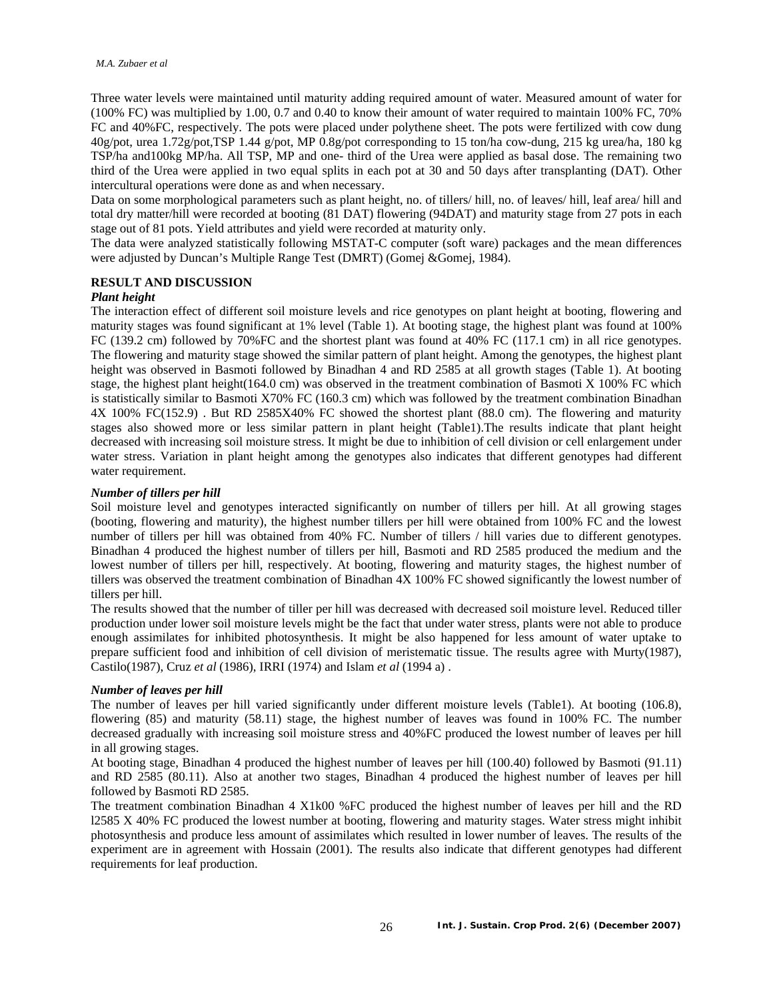Three water levels were maintained until maturity adding required amount of water. Measured amount of water for (100% FC) was multiplied by 1.00, 0.7 and 0.40 to know their amount of water required to maintain 100% FC, 70% FC and 40%FC, respectively. The pots were placed under polythene sheet. The pots were fertilized with cow dung 40g/pot, urea 1.72g/pot,TSP 1.44 g/pot, MP 0.8g/pot corresponding to 15 ton/ha cow-dung, 215 kg urea/ha, 180 kg TSP/ha and100kg MP/ha. All TSP, MP and one- third of the Urea were applied as basal dose. The remaining two third of the Urea were applied in two equal splits in each pot at 30 and 50 days after transplanting (DAT). Other intercultural operations were done as and when necessary.

Data on some morphological parameters such as plant height, no. of tillers/ hill, no. of leaves/ hill, leaf area/ hill and total dry matter/hill were recorded at booting (81 DAT) flowering (94DAT) and maturity stage from 27 pots in each stage out of 81 pots. Yield attributes and yield were recorded at maturity only.

The data were analyzed statistically following MSTAT-C computer (soft ware) packages and the mean differences were adjusted by Duncan's Multiple Range Test (DMRT) (Gomej &Gomej, 1984).

#### **RESULT AND DISCUSSION**

## *Plant height*

The interaction effect of different soil moisture levels and rice genotypes on plant height at booting, flowering and maturity stages was found significant at 1% level (Table 1). At booting stage, the highest plant was found at 100% FC (139.2 cm) followed by 70%FC and the shortest plant was found at 40% FC (117.1 cm) in all rice genotypes. The flowering and maturity stage showed the similar pattern of plant height. Among the genotypes, the highest plant height was observed in Basmoti followed by Binadhan 4 and RD 2585 at all growth stages (Table 1). At booting stage, the highest plant height(164.0 cm) was observed in the treatment combination of Basmoti X 100% FC which is statistically similar to Basmoti X70% FC (160.3 cm) which was followed by the treatment combination Binadhan 4X 100% FC(152.9) . But RD 2585X40% FC showed the shortest plant (88.0 cm). The flowering and maturity stages also showed more or less similar pattern in plant height (Table1).The results indicate that plant height decreased with increasing soil moisture stress. It might be due to inhibition of cell division or cell enlargement under water stress. Variation in plant height among the genotypes also indicates that different genotypes had different water requirement.

### *Number of tillers per hill*

Soil moisture level and genotypes interacted significantly on number of tillers per hill. At all growing stages (booting, flowering and maturity), the highest number tillers per hill were obtained from 100% FC and the lowest number of tillers per hill was obtained from 40% FC. Number of tillers / hill varies due to different genotypes. Binadhan 4 produced the highest number of tillers per hill, Basmoti and RD 2585 produced the medium and the lowest number of tillers per hill, respectively. At booting, flowering and maturity stages, the highest number of tillers was observed the treatment combination of Binadhan 4X 100% FC showed significantly the lowest number of tillers per hill.

The results showed that the number of tiller per hill was decreased with decreased soil moisture level. Reduced tiller production under lower soil moisture levels might be the fact that under water stress, plants were not able to produce enough assimilates for inhibited photosynthesis. It might be also happened for less amount of water uptake to prepare sufficient food and inhibition of cell division of meristematic tissue. The results agree with Murty(1987), Castilo(1987), Cruz *et al* (1986), IRRI (1974) and Islam *et al* (1994 a) .

#### *Number of leaves per hill*

The number of leaves per hill varied significantly under different moisture levels (Table1). At booting (106.8), flowering (85) and maturity (58.11) stage, the highest number of leaves was found in 100% FC. The number decreased gradually with increasing soil moisture stress and 40%FC produced the lowest number of leaves per hill in all growing stages.

At booting stage, Binadhan 4 produced the highest number of leaves per hill (100.40) followed by Basmoti (91.11) and RD 2585 (80.11). Also at another two stages, Binadhan 4 produced the highest number of leaves per hill followed by Basmoti RD 2585.

The treatment combination Binadhan 4 X1k00 %FC produced the highest number of leaves per hill and the RD l2585 X 40% FC produced the lowest number at booting, flowering and maturity stages. Water stress might inhibit photosynthesis and produce less amount of assimilates which resulted in lower number of leaves. The results of the experiment are in agreement with Hossain (2001). The results also indicate that different genotypes had different requirements for leaf production.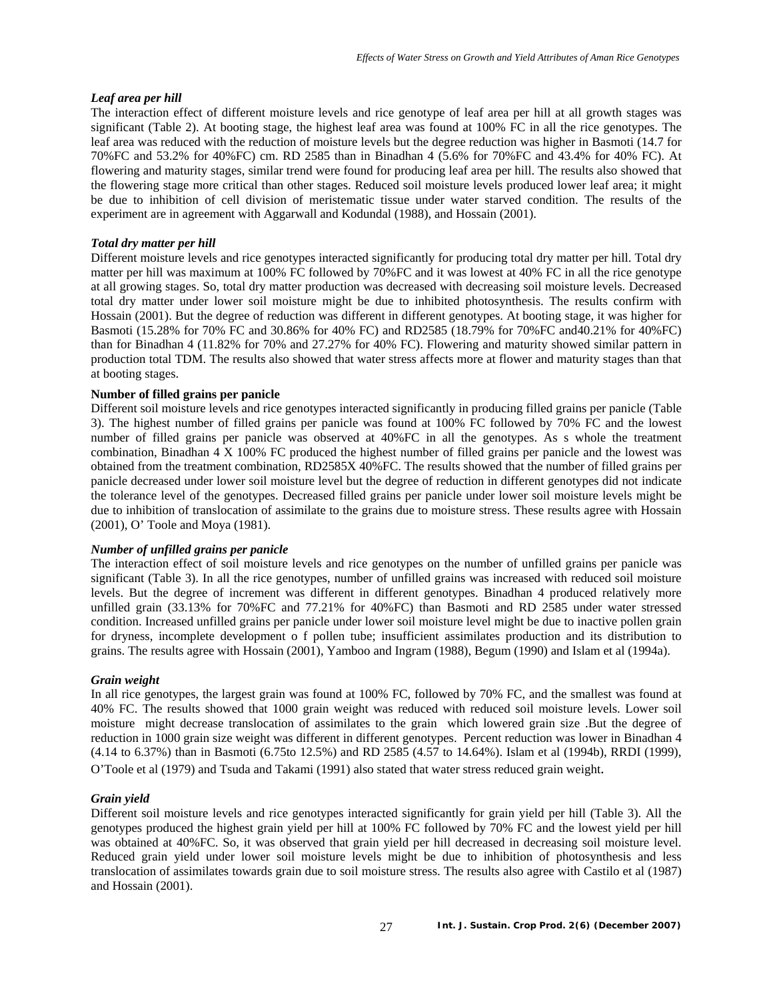### *Leaf area per hill*

The interaction effect of different moisture levels and rice genotype of leaf area per hill at all growth stages was significant (Table 2). At booting stage, the highest leaf area was found at 100% FC in all the rice genotypes. The leaf area was reduced with the reduction of moisture levels but the degree reduction was higher in Basmoti (14.7 for 70%FC and 53.2% for 40%FC) cm. RD 2585 than in Binadhan 4 (5.6% for 70%FC and 43.4% for 40% FC). At flowering and maturity stages, similar trend were found for producing leaf area per hill. The results also showed that the flowering stage more critical than other stages. Reduced soil moisture levels produced lower leaf area; it might be due to inhibition of cell division of meristematic tissue under water starved condition. The results of the experiment are in agreement with Aggarwall and Kodundal (1988), and Hossain (2001).

### *Total dry matter per hill*

Different moisture levels and rice genotypes interacted significantly for producing total dry matter per hill. Total dry matter per hill was maximum at 100% FC followed by 70%FC and it was lowest at 40% FC in all the rice genotype at all growing stages. So, total dry matter production was decreased with decreasing soil moisture levels. Decreased total dry matter under lower soil moisture might be due to inhibited photosynthesis. The results confirm with Hossain (2001). But the degree of reduction was different in different genotypes. At booting stage, it was higher for Basmoti (15.28% for 70% FC and 30.86% for 40% FC) and RD2585 (18.79% for 70%FC and40.21% for 40%FC) than for Binadhan 4 (11.82% for 70% and 27.27% for 40% FC). Flowering and maturity showed similar pattern in production total TDM. The results also showed that water stress affects more at flower and maturity stages than that at booting stages.

## **Number of filled grains per panicle**

Different soil moisture levels and rice genotypes interacted significantly in producing filled grains per panicle (Table 3). The highest number of filled grains per panicle was found at 100% FC followed by 70% FC and the lowest number of filled grains per panicle was observed at 40%FC in all the genotypes. As s whole the treatment combination, Binadhan 4 X 100% FC produced the highest number of filled grains per panicle and the lowest was obtained from the treatment combination, RD2585X 40%FC. The results showed that the number of filled grains per panicle decreased under lower soil moisture level but the degree of reduction in different genotypes did not indicate the tolerance level of the genotypes. Decreased filled grains per panicle under lower soil moisture levels might be due to inhibition of translocation of assimilate to the grains due to moisture stress. These results agree with Hossain (2001), O' Toole and Moya (1981).

#### *Number of unfilled grains per panicle*

The interaction effect of soil moisture levels and rice genotypes on the number of unfilled grains per panicle was significant (Table 3). In all the rice genotypes, number of unfilled grains was increased with reduced soil moisture levels. But the degree of increment was different in different genotypes. Binadhan 4 produced relatively more unfilled grain (33.13% for 70%FC and 77.21% for 40%FC) than Basmoti and RD 2585 under water stressed condition. Increased unfilled grains per panicle under lower soil moisture level might be due to inactive pollen grain for dryness, incomplete development o f pollen tube; insufficient assimilates production and its distribution to grains. The results agree with Hossain (2001), Yamboo and Ingram (1988), Begum (1990) and Islam et al (1994a).

### *Grain weight*

In all rice genotypes, the largest grain was found at 100% FC, followed by 70% FC, and the smallest was found at 40% FC. The results showed that 1000 grain weight was reduced with reduced soil moisture levels. Lower soil moisture might decrease translocation of assimilates to the grain which lowered grain size .But the degree of reduction in 1000 grain size weight was different in different genotypes. Percent reduction was lower in Binadhan 4 (4.14 to 6.37%) than in Basmoti (6.75to 12.5%) and RD 2585 (4.57 to 14.64%). Islam et al (1994b), RRDI (1999), O'Toole et al (1979) and Tsuda and Takami (1991) also stated that water stress reduced grain weight.

#### *Grain yield*

Different soil moisture levels and rice genotypes interacted significantly for grain yield per hill (Table 3). All the genotypes produced the highest grain yield per hill at 100% FC followed by 70% FC and the lowest yield per hill was obtained at 40%FC. So, it was observed that grain yield per hill decreased in decreasing soil moisture level. Reduced grain yield under lower soil moisture levels might be due to inhibition of photosynthesis and less translocation of assimilates towards grain due to soil moisture stress. The results also agree with Castilo et al (1987) and Hossain (2001).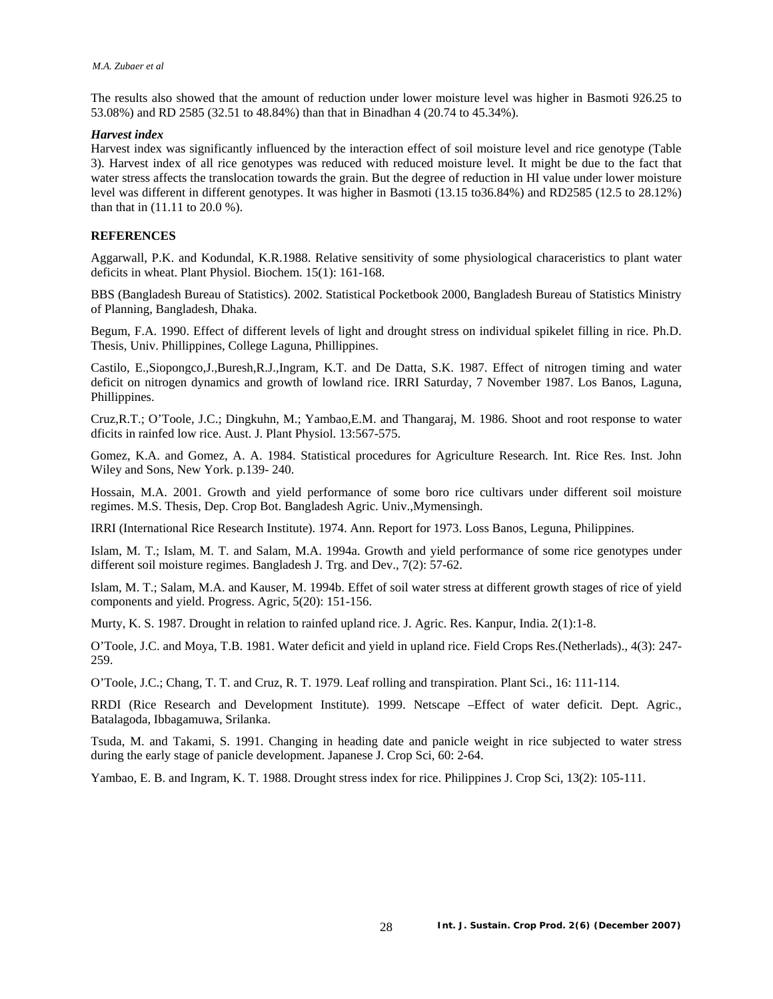The results also showed that the amount of reduction under lower moisture level was higher in Basmoti 926.25 to 53.08%) and RD 2585 (32.51 to 48.84%) than that in Binadhan 4 (20.74 to 45.34%).

### *Harvest index*

Harvest index was significantly influenced by the interaction effect of soil moisture level and rice genotype (Table 3). Harvest index of all rice genotypes was reduced with reduced moisture level. It might be due to the fact that water stress affects the translocation towards the grain. But the degree of reduction in HI value under lower moisture level was different in different genotypes. It was higher in Basmoti (13.15 to36.84%) and RD2585 (12.5 to 28.12%) than that in (11.11 to 20.0 %).

## **REFERENCES**

Aggarwall, P.K. and Kodundal, K.R.1988. Relative sensitivity of some physiological characeristics to plant water deficits in wheat. Plant Physiol. Biochem. 15(1): 161-168.

BBS (Bangladesh Bureau of Statistics). 2002. Statistical Pocketbook 2000, Bangladesh Bureau of Statistics Ministry of Planning, Bangladesh, Dhaka.

Begum, F.A. 1990. Effect of different levels of light and drought stress on individual spikelet filling in rice. Ph.D. Thesis, Univ. Phillippines, College Laguna, Phillippines.

Castilo, E.,Siopongco,J.,Buresh,R.J.,Ingram, K.T. and De Datta, S.K. 1987. Effect of nitrogen timing and water deficit on nitrogen dynamics and growth of lowland rice. IRRI Saturday, 7 November 1987. Los Banos, Laguna, Phillippines.

Cruz,R.T.; O'Toole, J.C.; Dingkuhn, M.; Yambao,E.M. and Thangaraj, M. 1986. Shoot and root response to water dficits in rainfed low rice. Aust. J. Plant Physiol. 13:567-575.

Gomez, K.A. and Gomez, A. A. 1984. Statistical procedures for Agriculture Research. Int. Rice Res. Inst. John Wiley and Sons, New York. p.139- 240.

Hossain, M.A. 2001. Growth and yield performance of some boro rice cultivars under different soil moisture regimes. M.S. Thesis, Dep. Crop Bot. Bangladesh Agric. Univ.,Mymensingh.

IRRI (International Rice Research Institute). 1974. Ann. Report for 1973. Loss Banos, Leguna, Philippines.

Islam, M. T.; Islam, M. T. and Salam, M.A. 1994a. Growth and yield performance of some rice genotypes under different soil moisture regimes. Bangladesh J. Trg. and Dev., 7(2): 57-62.

Islam, M. T.; Salam, M.A. and Kauser, M. 1994b. Effet of soil water stress at different growth stages of rice of yield components and yield. Progress. Agric, 5(20): 151-156.

Murty, K. S. 1987. Drought in relation to rainfed upland rice. J. Agric. Res. Kanpur, India. 2(1):1-8.

O'Toole, J.C. and Moya, T.B. 1981. Water deficit and yield in upland rice. Field Crops Res.(Netherlads)., 4(3): 247- 259.

O'Toole, J.C.; Chang, T. T. and Cruz, R. T. 1979. Leaf rolling and transpiration. Plant Sci., 16: 111-114.

RRDI (Rice Research and Development Institute). 1999. Netscape –Effect of water deficit. Dept. Agric., Batalagoda, Ibbagamuwa, Srilanka.

Tsuda, M. and Takami, S. 1991. Changing in heading date and panicle weight in rice subjected to water stress during the early stage of panicle development. Japanese J. Crop Sci, 60: 2-64.

Yambao, E. B. and Ingram, K. T. 1988. Drought stress index for rice. Philippines J. Crop Sci, 13(2): 105-111.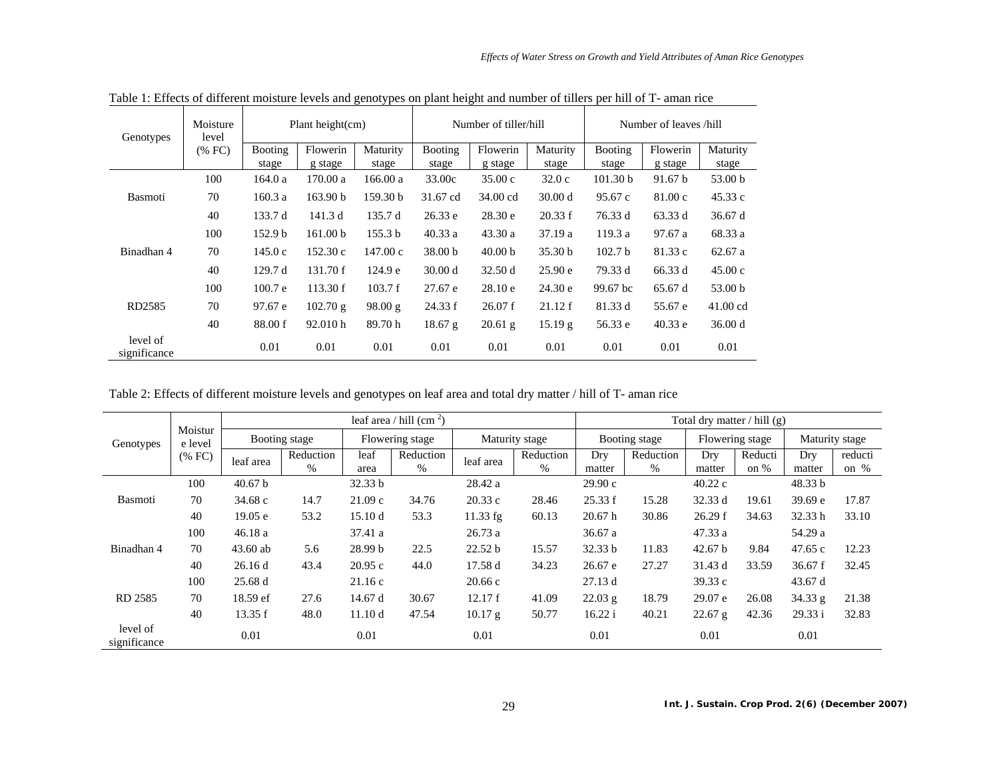| Genotypes                | Moisture<br>level<br>(% FC) | Plant height $(cm)$     |                     |                     |                    | Number of tiller/hill |                    | Number of leaves /hill  |                     |                    |  |
|--------------------------|-----------------------------|-------------------------|---------------------|---------------------|--------------------|-----------------------|--------------------|-------------------------|---------------------|--------------------|--|
|                          |                             | <b>Booting</b><br>stage | Flowerin<br>g stage | Maturity<br>stage   | Booting<br>stage   | Flowerin<br>g stage   | Maturity<br>stage  | <b>Booting</b><br>stage | Flowerin<br>g stage | Maturity<br>stage  |  |
| <b>Basmoti</b>           | 100                         | 164.0a                  | 170.00 a            | 166.00a             | 33.00c             | 35.00c                | 32.0c              | 101.30 b                | 91.67 b             | 53.00 b            |  |
|                          | 70                          | 160.3a                  | 163.90 b            | 159.30 <sub>b</sub> | 31.67 cd           | 34.00 cd              | 30.00 d            | 95.67 c                 | 81.00c              | 45.33c             |  |
|                          | 40                          | 133.7 d                 | 141.3 d             | 135.7 d             | 26.33 e            | 28.30 e               | 20.33 f            | 76.33 d                 | 63.33 d             | 36.67d             |  |
| Binadhan 4               | 100                         | 152.9 <sub>b</sub>      | 161.00 b            | 155.3 <sub>b</sub>  | 40.33a             | 43.30a                | 37.19a             | 119.3a                  | 97.67 a             | 68.33 a            |  |
|                          | 70                          | 145.0c                  | 152.30c             | 147.00c             | 38.00 <sub>b</sub> | 40.00 <sub>b</sub>    | 35.30 <sub>b</sub> | 102.7 <sub>b</sub>      | 81.33 c             | 62.67a             |  |
|                          | 40                          | 129.7 d                 | 131.70 f            | 124.9 e             | 30.00 d            | 32.50 d               | 25.90 e            | 79.33 d                 | 66.33 d             | 45.00c             |  |
| RD2585                   | 100                         | 100.7 e                 | 113.30 f            | 103.7 f             | 27.67e             | 28.10 e               | 24.30 e            | 99.67 bc                | 65.67d              | 53.00 <sub>b</sub> |  |
|                          | 70                          | 97.67 e                 | 102.70 g            | 98.00 g             | 24.33 f            | 26.07 f               | 21.12 f            | 81.33 d                 | 55.67 e             | $41.00$ cd         |  |
|                          | 40                          | 88.00 f                 | 92.010 h            | 89.70 h             | 18.67 g            | $20.61$ g             | 15.19 g            | 56.33 e                 | 40.33 e             | 36.00 d            |  |
| level of<br>significance |                             | 0.01                    | 0.01                | 0.01                | 0.01               | 0.01                  | 0.01               | 0.01                    | 0.01                | 0.01               |  |

Table 1: Effects of different moisture levels and genotypes on plant height and number of tillers per hill of T- aman rice

Table 2: Effects of different moisture levels and genotypes on leaf area and total dry matter / hill of T- aman rice

| Genotypes                | Moistur<br>e level<br>$(%$ (% FC) | leaf area / hill (cm $2$ ) |           |                 |           |                |           | Total dry matter / hill $(g)$ |           |                 |         |                |         |
|--------------------------|-----------------------------------|----------------------------|-----------|-----------------|-----------|----------------|-----------|-------------------------------|-----------|-----------------|---------|----------------|---------|
|                          |                                   | Booting stage              |           | Flowering stage |           | Maturity stage |           | Booting stage                 |           | Flowering stage |         | Maturity stage |         |
|                          |                                   | leaf area                  | Reduction | leaf            | Reduction | leaf area      | Reduction | Dry                           | Reduction | Drv             | Reducti | Dry            | reducti |
|                          |                                   |                            | $\%$      | area            | $\%$      |                | %         | matter                        | $\%$      | matter          | on %    | matter         | on %    |
| <b>Basmoti</b>           | 100                               | 40.67 b                    |           | 32.33 b         |           | 28.42 a        |           | 29.90c                        |           | 40.22c          |         | 48.33 b        |         |
|                          | 70                                | 34.68c                     | 14.7      | 21.09c          | 34.76     | 20.33c         | 28.46     | 25.33 f                       | 15.28     | 32.33 d         | 19.61   | 39.69 e        | 17.87   |
|                          | 40                                | 19.05 e                    | 53.2      | 15.10 d         | 53.3      | $11.33$ fg     | 60.13     | 20.67 h                       | 30.86     | 26.29 f         | 34.63   | 32.33 h        | 33.10   |
| Binadhan 4               | 100                               | 46.18a                     |           | 37.41 a         |           | 26.73a         |           | 36.67 a                       |           | 47.33 a         |         | 54.29 a        |         |
|                          | 70                                | $43.60$ ab                 | 5.6       | 28.99 b         | 22.5      | 22.52 b        | 15.57     | 32.33 b                       | 11.83     | 42.67 b         | 9.84    | 47.65c         | 12.23   |
|                          | 40                                | 26.16d                     | 43.4      | 20.95c          | 44.0      | 17.58 d        | 34.23     | 26.67 e                       | 27.27     | 31.43 d         | 33.59   | 36.67 f        | 32.45   |
| RD 2585                  | 100                               | 25.68d                     |           | 21.16c          |           | 20.66c         |           | 27.13d                        |           | 39.33c          |         | 43.67 d        |         |
|                          | 70                                | 18.59 ef                   | 27.6      | 14.67 $d$       | 30.67     | 12.17 f        | 41.09     | $22.03$ g                     | 18.79     | 29.07 e         | 26.08   | 34.33 g        | 21.38   |
|                          | 40                                | 13.35 f                    | 48.0      | 11.10d          | 47.54     | 10.17 g        | 50.77     | 16.22 i                       | 40.21     | $22.67$ g       | 42.36   | 29.33 i        | 32.83   |
| level of<br>significance |                                   | 0.01                       |           | 0.01            |           | 0.01           |           | 0.01                          |           | 0.01            |         | 0.01           |         |